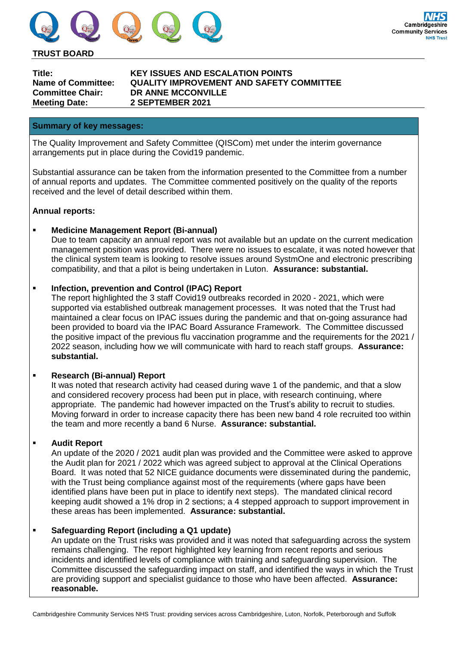

#### **TRUST BOARD**

**Meeting Date: 2 SEPTEMBER 2021**

**Title: KEY ISSUES AND ESCALATION POINTS Name of Committee: QUALITY IMPROVEMENT AND SAFETY COMMITTEE Committee Chair: DR ANNE MCCONVILLE**

#### **Summary of key messages:**

The Quality Improvement and Safety Committee (QISCom) met under the interim governance arrangements put in place during the Covid19 pandemic.

Substantial assurance can be taken from the information presented to the Committee from a number of annual reports and updates. The Committee commented positively on the quality of the reports received and the level of detail described within them.

### **Annual reports:**

### **Medicine Management Report (Bi-annual)**

Due to team capacity an annual report was not available but an update on the current medication management position was provided. There were no issues to escalate, it was noted however that the clinical system team is looking to resolve issues around SystmOne and electronic prescribing compatibility, and that a pilot is being undertaken in Luton. **Assurance: substantial.**

### **Infection, prevention and Control (IPAC) Report**

The report highlighted the 3 staff Covid19 outbreaks recorded in 2020 - 2021, which were supported via established outbreak management processes. It was noted that the Trust had maintained a clear focus on IPAC issues during the pandemic and that on-going assurance had been provided to board via the IPAC Board Assurance Framework. The Committee discussed the positive impact of the previous flu vaccination programme and the requirements for the 2021 / 2022 season, including how we will communicate with hard to reach staff groups. **Assurance: substantial.**

#### **Research (Bi-annual) Report**

It was noted that research activity had ceased during wave 1 of the pandemic, and that a slow and considered recovery process had been put in place, with research continuing, where appropriate. The pandemic had however impacted on the Trust's ability to recruit to studies. Moving forward in order to increase capacity there has been new band 4 role recruited too within the team and more recently a band 6 Nurse. **Assurance: substantial.**

#### **Audit Report**

An update of the 2020 / 2021 audit plan was provided and the Committee were asked to approve the Audit plan for 2021 / 2022 which was agreed subject to approval at the Clinical Operations Board. It was noted that 52 NICE guidance documents were disseminated during the pandemic, with the Trust being compliance against most of the requirements (where gaps have been identified plans have been put in place to identify next steps). The mandated clinical record keeping audit showed a 1% drop in 2 sections; a 4 stepped approach to support improvement in these areas has been implemented. **Assurance: substantial.**

#### **Safeguarding Report (including a Q1 update)**

An update on the Trust risks was provided and it was noted that safeguarding across the system remains challenging. The report highlighted key learning from recent reports and serious incidents and identified levels of compliance with training and safeguarding supervision. The Committee discussed the safeguarding impact on staff, and identified the ways in which the Trust are providing support and specialist guidance to those who have been affected. **Assurance: reasonable.**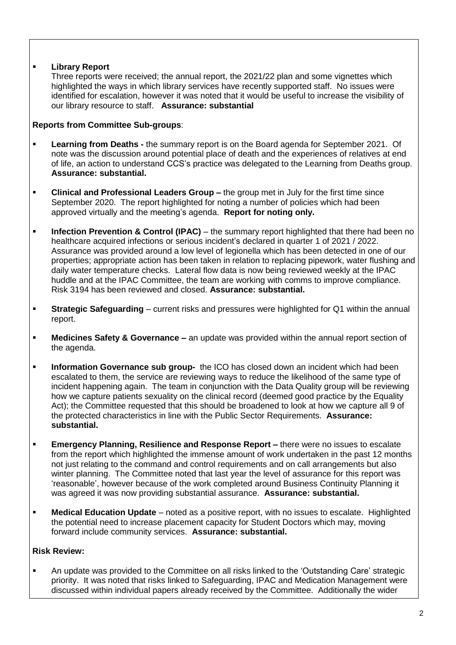# **Library Report**

Three reports were received; the annual report, the 2021/22 plan and some vignettes which highlighted the ways in which library services have recently supported staff. No issues were identified for escalation, however it was noted that it would be useful to increase the visibility of our library resource to staff. **Assurance: substantial**

# **Reports from Committee Sub-groups**:

- **Learning from Deaths -** the summary report is on the Board agenda for September 2021. Of note was the discussion around potential place of death and the experiences of relatives at end of life, an action to understand CCS's practice was delegated to the Learning from Deaths group. **Assurance: substantial.**
- **Clinical and Professional Leaders Group –** the group met in July for the first time since September 2020. The report highlighted for noting a number of policies which had been approved virtually and the meeting's agenda. **Report for noting only.**
- **Infection Prevention & Control (IPAC)** the summary report highlighted that there had been no healthcare acquired infections or serious incident's declared in quarter 1 of 2021 / 2022. Assurance was provided around a low level of legionella which has been detected in one of our properties; appropriate action has been taken in relation to replacing pipework, water flushing and daily water temperature checks. Lateral flow data is now being reviewed weekly at the IPAC huddle and at the IPAC Committee, the team are working with comms to improve compliance. Risk 3194 has been reviewed and closed. **Assurance: substantial.**
- **Strategic Safeguarding** current risks and pressures were highlighted for Q1 within the annual report.
- **Medicines Safety & Governance –** an update was provided within the annual report section of the agenda.
- **Information Governance sub group-** the ICO has closed down an incident which had been escalated to them, the service are reviewing ways to reduce the likelihood of the same type of incident happening again. The team in conjunction with the Data Quality group will be reviewing how we capture patients sexuality on the clinical record (deemed good practice by the Equality Act); the Committee requested that this should be broadened to look at how we capture all 9 of the protected characteristics in line with the Public Sector Requirements. **Assurance: substantial.**
- **Emergency Planning, Resilience and Response Report –** there were no issues to escalate from the report which highlighted the immense amount of work undertaken in the past 12 months not just relating to the command and control requirements and on call arrangements but also winter planning. The Committee noted that last year the level of assurance for this report was 'reasonable', however because of the work completed around Business Continuity Planning it was agreed it was now providing substantial assurance. **Assurance: substantial.**
- **Medical Education Update** noted as a positive report, with no issues to escalate. Highlighted the potential need to increase placement capacity for Student Doctors which may, moving forward include community services. **Assurance: substantial.**

# **Risk Review:**

 An update was provided to the Committee on all risks linked to the 'Outstanding Care' strategic priority. It was noted that risks linked to Safeguarding, IPAC and Medication Management were discussed within individual papers already received by the Committee. Additionally the wider